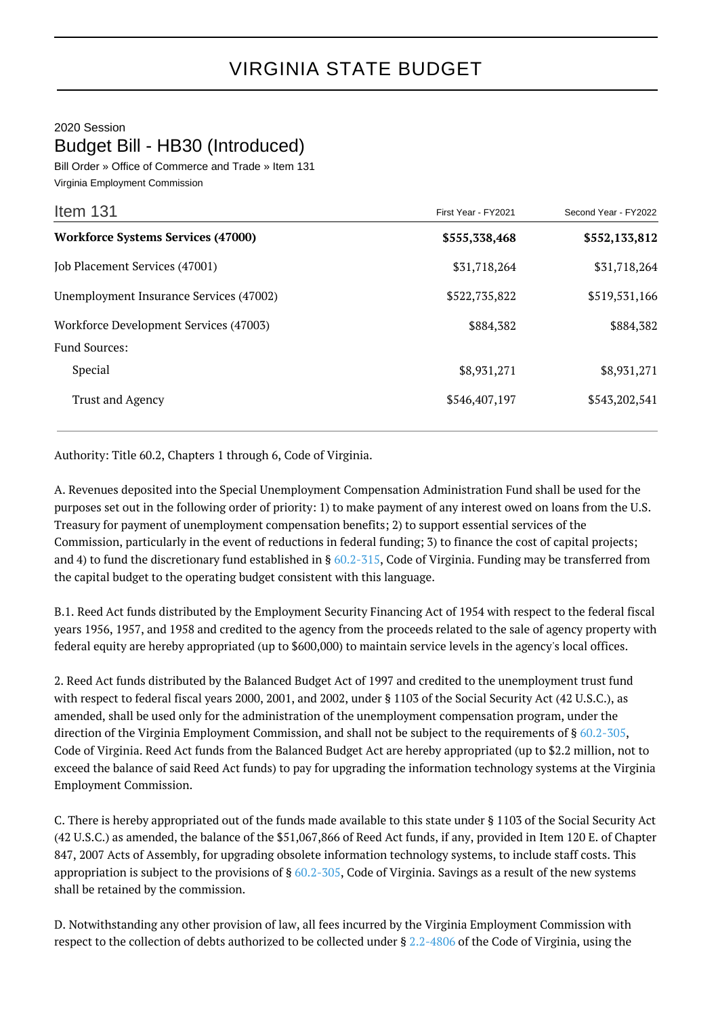## 2020 Session Budget Bill - HB30 (Introduced)

Bill Order » Office of Commerce and Trade » Item 131 Virginia Employment Commission

| Item 131                                  | First Year - FY2021 | Second Year - FY2022 |
|-------------------------------------------|---------------------|----------------------|
| <b>Workforce Systems Services (47000)</b> | \$555,338,468       | \$552,133,812        |
| Job Placement Services (47001)            | \$31,718,264        | \$31,718,264         |
| Unemployment Insurance Services (47002)   | \$522,735,822       | \$519,531,166        |
| Workforce Development Services (47003)    | \$884,382           | \$884,382            |
| <b>Fund Sources:</b>                      |                     |                      |
| Special                                   | \$8,931,271         | \$8,931,271          |
| <b>Trust and Agency</b>                   | \$546,407,197       | \$543,202,541        |

Authority: Title 60.2, Chapters 1 through 6, Code of Virginia.

A. Revenues deposited into the Special Unemployment Compensation Administration Fund shall be used for the purposes set out in the following order of priority: 1) to make payment of any interest owed on loans from the U.S. Treasury for payment of unemployment compensation benefits; 2) to support essential services of the Commission, particularly in the event of reductions in federal funding; 3) to finance the cost of capital projects; and 4) to fund the discretionary fund established in § [60.2-315,](http://law.lis.virginia.gov/vacode/60.2-315/) Code of Virginia. Funding may be transferred from the capital budget to the operating budget consistent with this language.

B.1. Reed Act funds distributed by the Employment Security Financing Act of 1954 with respect to the federal fiscal years 1956, 1957, and 1958 and credited to the agency from the proceeds related to the sale of agency property with federal equity are hereby appropriated (up to \$600,000) to maintain service levels in the agency's local offices.

2. Reed Act funds distributed by the Balanced Budget Act of 1997 and credited to the unemployment trust fund with respect to federal fiscal years 2000, 2001, and 2002, under § 1103 of the Social Security Act (42 U.S.C.), as amended, shall be used only for the administration of the unemployment compensation program, under the direction of the Virginia Employment Commission, and shall not be subject to the requirements of § [60.2-305,](http://law.lis.virginia.gov/vacode/60.2-305/) Code of Virginia. Reed Act funds from the Balanced Budget Act are hereby appropriated (up to \$2.2 million, not to exceed the balance of said Reed Act funds) to pay for upgrading the information technology systems at the Virginia Employment Commission.

C. There is hereby appropriated out of the funds made available to this state under § 1103 of the Social Security Act (42 U.S.C.) as amended, the balance of the \$51,067,866 of Reed Act funds, if any, provided in Item 120 E. of Chapter 847, 2007 Acts of Assembly, for upgrading obsolete information technology systems, to include staff costs. This appropriation is subject to the provisions of  $\S 60.2$ -305, Code of Virginia. Savings as a result of the new systems shall be retained by the commission.

D. Notwithstanding any other provision of law, all fees incurred by the Virginia Employment Commission with respect to the collection of debts authorized to be collected under § [2.2-4806](http://law.lis.virginia.gov/vacode/2.2-4806/) of the Code of Virginia, using the